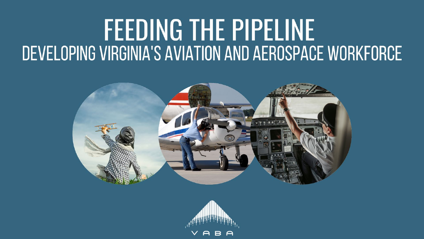

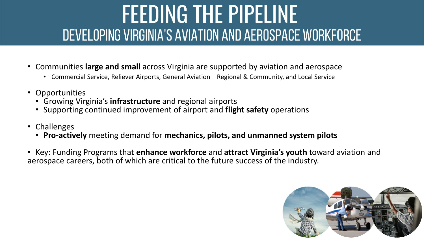- Communities **large and small** across Virginia are supported by aviation and aerospace
	- Commercial Service, Reliever Airports, General Aviation Regional & Community, and Local Service
- Opportunities
	- Growing Virginia's **infrastructure** and regional airports
	- Supporting continued improvement of airport and **flight safety** operations
- Challenges
	- **Pro-actively** meeting demand for **mechanics, pilots, and unmanned system pilots**
- Key: Funding Programs that **enhance workforce** and **attract Virginia's youth** toward aviation and aerospace careers, both of which are critical to the future success of the industry.

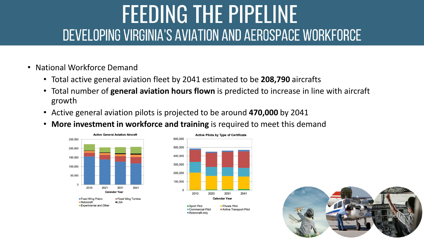- National Workforce Demand
	- Total active general aviation fleet by 2041 estimated to be **208,790** aircrafts
	- Total number of **general aviation hours flown** is predicted to increase in line with aircraft growth
	- Active general aviation pilots is projected to be around **470,000** by 2041
	- **More investment in workforce and training** is required to meet this demand





Rotorcraft only

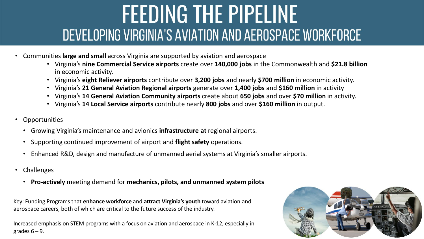- Communities **large and small** across Virginia are supported by aviation and aerospace
	- Virginia's **nine Commercial Service airports** create over **140,000 jobs** in the Commonwealth and **\$21.8 billion**  in economic activity.
	- Virginia's **eight Reliever airports** contribute over **3,200 jobs** and nearly **\$700 million** in economic activity.
	- Virginia's **21 General Aviation Regional airports** generate over **1,400 jobs** and **\$160 million** in activity
	- Virginia's **14 General Aviation Community airports** create about **650 jobs** and over **\$70 million** in activity.
	- Virginia's **14 Local Service airports** contribute nearly **800 jobs** and over **\$160 million** in output.
- Opportunities
	- Growing Virginia's maintenance and avionics **infrastructure at** regional airports.
	- Supporting continued improvement of airport and **flight safety** operations.
	- Enhanced R&D, design and manufacture of unmanned aerial systems at Virginia's smaller airports.
- Challenges
	- **Pro-actively** meeting demand for **mechanics, pilots, and unmanned system pilots**

Key: Funding Programs that **enhance workforce** and **attract Virginia's youth** toward aviation and aerospace careers, both of which are critical to the future success of the industry.

Increased emphasis on STEM programs with a focus on aviation and aerospace in K-12, especially in grades  $6 - 9$ .

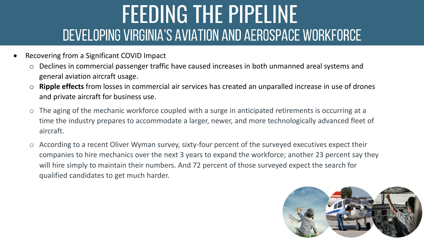- Recovering from a Significant COVID Impact
	- o Declines in commercial passenger traffic have caused increases in both unmanned areal systems and general aviation aircraft usage.
	- o **Ripple effects** from losses in commercial air services has created an unparalled increase in use of drones and private aircraft for business use.
	- o The aging of the mechanic workforce coupled with a surge in anticipated retirements is occurring at a time the industry prepares to accommodate a larger, newer, and more technologically advanced fleet of aircraft.
	- $\circ$  According to a recent Oliver Wyman survey, sixty-four percent of the surveyed executives expect their companies to hire mechanics over the next 3 years to expand the workforce; another 23 percent say they will hire simply to maintain their numbers. And 72 percent of those surveyed expect the search for qualified candidates to get much harder.

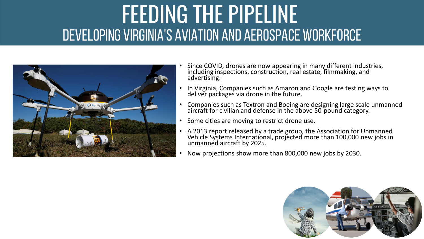

- Since COVID, drones are now appearing in many different industries, including inspections, construction, real estate, filmmaking, and advertising.
- In Virginia, Companies such as Amazon and Google are testing ways to deliver packages via drone in the future.
- Companies such as Textron and Boeing are designing large scale unmanned aircraft for civilian and defense in the above 50-pound category.
- Some cities are moving to restrict drone use.
- A 2013 report released by a trade group, the Association for Unmanned Vehicle Systems International, projected more than 100,000 new jobs in unmanned aircraft by 2025.
- Now projections show more than 800,000 new jobs by 2030.

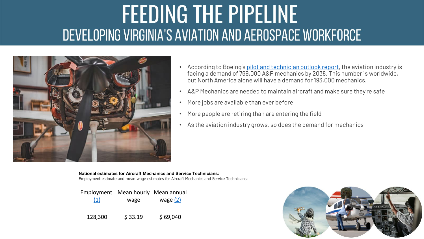

- According to Boeing's [pilot and technician outlook report](https://www.boeing.com/commercial/market/pilot-technician-outlook/), the aviation industry is facing a demand of 769,000 A&P mechanics by 2038. This number is worldwide, but North America alone will have a demand for 193,000 mechanics.
- A&P Mechanics are needed to maintain aircraft and make sure they're safe
- More jobs are available than ever before
- More people are retiring than are entering the field
- As the aviation industry grows, so does the demand for mechanics

**National estimates for Aircraft Mechanics and Service Technicians:** Employment estimate and mean wage estimates for Aircraft Mechanics and Service Technicians:

|     | Employment Mean hourly Mean annual |            |
|-----|------------------------------------|------------|
| (1) | wage                               | wage $(2)$ |
|     |                                    |            |

128,300 \$ 33.19 \$ 69,040

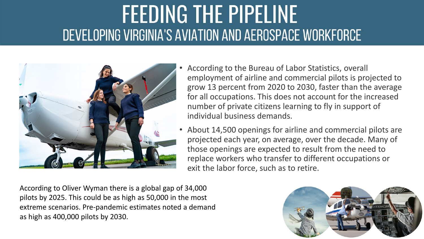

- According to the Bureau of Labor Statistics, overall employment of airline and commercial pilots is projected to grow 13 percent from 2020 to 2030, faster than the average for all occupations. This does not account for the increased number of private citizens learning to fly in support of individual business demands.
- About 14,500 openings for airline and commercial pilots are projected each year, on average, over the decade. Many of those openings are expected to result from the need to replace workers who transfer to different occupations or exit the labor force, such as to retire.

According to Oliver Wyman there is a global gap of 34,000 pilots by 2025. This could be as high as 50,000 in the most extreme scenarios. Pre-pandemic estimates noted a demand as high as 400,000 pilots by 2030.

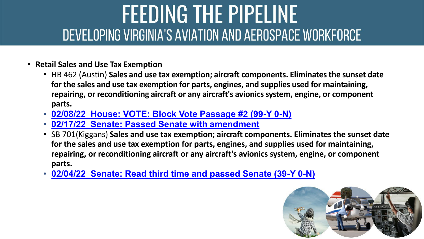- **Retail Sales and Use Tax Exemption**
	- HB 462 (Austin) **Sales and use tax exemption; aircraft components. Eliminates the sunset date for the sales and use tax exemption for parts, engines, and supplies used for maintaining, repairing, or reconditioning aircraft or any aircraft's avionics system, engine, or component parts.**
	- **[02/08/22 House: VOTE: Block Vote Passage #2 \(99-Y 0-N\)](https://lis.virginia.gov/cgi-bin/legp604.exe?221+vot+HV0523+HB0462)**
	- **[02/17/22 Senate: Passed Senate with amendment](https://lis.virginia.gov/cgi-bin/legp604.exe?221+vot+SV0517HB0462+HB0462)**
	- SB 701(Kiggans) **Sales and use tax exemption; aircraft components. Eliminates the sunset date for the sales and use tax exemption for parts, engines, and supplies used for maintaining, repairing, or reconditioning aircraft or any aircraft's avionics system, engine, or component parts.**
	- **[02/04/22 Senate: Read third time and passed Senate \(39-Y 0-N\)](https://lis.virginia.gov/cgi-bin/legp604.exe?221+vot+SV0217SB0701+SB0701)**

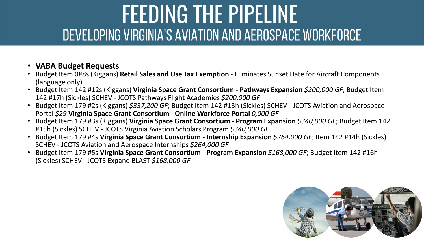- 
- **VABA Budget Requests**<br>• Budget Item 0#8s (Kiggans) **Retail Sales and Use Tax Exemption** Eliminates Sunset Date for Aircraft Components (language only)
- Budget Item 142 #12s (Kiggans) **Virginia Space Grant Consortium - Pathways Expansion** *\$200,000 GF*; Budget Item 142 #17h (Sickles) SCHEV - JCOTS Pathways Flight Academies *\$200,000 GF*
- Budget Item 179 #2s (Kiggans) *\$337,200 GF*; Budget Item 142 #13h (Sickles) SCHEV JCOTS Aviation and Aerospace Portal *\$29* **Virginia Space Grant Consortium - Online Workforce Portal** *0,000 GF*
- Budget Item 179 #3s (Kiggans) **Virginia Space Grant Consortium - Program Expansion** *\$340,000 GF*; Budget Item 142 #15h (Sickles) SCHEV - JCOTS Virginia Aviation Scholars Program *\$340,000 GF*
- Budget Item 179 #4s **Virginia Space Grant Consortium - Internship Expansion** *\$264,000 GF*; Item 142 #14h (Sickles) SCHEV - JCOTS Aviation and Aerospace Internships *\$264,000 GF*
- Budget Item 179 #5s **Virginia Space Grant Consortium - Program Expansion** *\$168,000 GF*; Budget Item 142 #16h (Sickles) SCHEV - JCOTS Expand BLAST *\$168,000 GF*